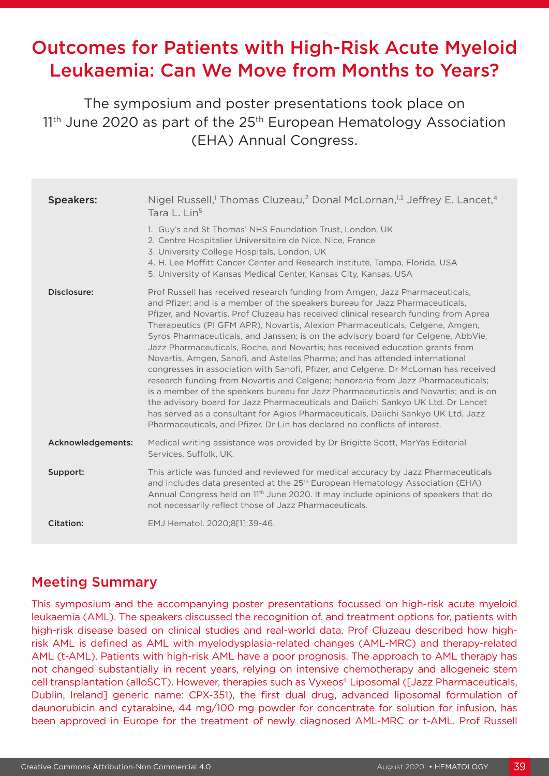# Outcomes for Patients with High-Risk Acute Myeloid Leukaemia: Can We Move from Months to Years?

The symposium and poster presentations took place on  $11<sup>th</sup>$  June 2020 as part of the  $25<sup>th</sup>$  European Hematology Association (EHA) Annual Congress.

| <b>Speakers:</b>  | Nigel Russell, <sup>1</sup> Thomas Cluzeau, <sup>2</sup> Donal McLornan, <sup>1,3</sup> Jeffrey E. Lancet, <sup>4</sup><br>Tara L. Lin <sup>5</sup>                                                                                                                                                                                                                                                                                                                                                                                                                                                                                                                                                                                                                                                                                                                                                                                                                                                                                                                                                                   |
|-------------------|-----------------------------------------------------------------------------------------------------------------------------------------------------------------------------------------------------------------------------------------------------------------------------------------------------------------------------------------------------------------------------------------------------------------------------------------------------------------------------------------------------------------------------------------------------------------------------------------------------------------------------------------------------------------------------------------------------------------------------------------------------------------------------------------------------------------------------------------------------------------------------------------------------------------------------------------------------------------------------------------------------------------------------------------------------------------------------------------------------------------------|
|                   | 1. Guy's and St Thomas' NHS Foundation Trust, London, UK<br>2. Centre Hospitalier Universitaire de Nice, Nice, France<br>3. University College Hospitals, London, UK<br>4. H. Lee Moffitt Cancer Center and Research Institute, Tampa, Florida, USA<br>5. University of Kansas Medical Center, Kansas City, Kansas, USA                                                                                                                                                                                                                                                                                                                                                                                                                                                                                                                                                                                                                                                                                                                                                                                               |
| Disclosure:       | Prof Russell has received research funding from Amgen, Jazz Pharmaceuticals,<br>and Pfizer; and is a member of the speakers bureau for Jazz Pharmaceuticals,<br>Pfizer, and Novartis. Prof Cluzeau has received clinical research funding from Aprea<br>Therapeutics (PI GFM APR), Novartis, Alexion Pharmaceuticals, Celgene, Amgen,<br>Syros Pharmaceuticals, and Janssen; is on the advisory board for Celgene, AbbVie,<br>Jazz Pharmaceuticals, Roche, and Novartis; has received education grants from<br>Novartis, Amgen, Sanofi, and Astellas Pharma; and has attended international<br>congresses in association with Sanofi, Pfizer, and Celgene. Dr McLornan has received<br>research funding from Novartis and Celgene; honoraria from Jazz Pharmaceuticals;<br>is a member of the speakers bureau for Jazz Pharmaceuticals and Novartis; and is on<br>the advisory board for Jazz Pharmaceuticals and Daiichi Sankyo UK Ltd. Dr Lancet<br>has served as a consultant for Agios Pharmaceuticals, Daiichi Sankyo UK Ltd, Jazz<br>Pharmaceuticals, and Pfizer. Dr Lin has declared no conflicts of interest. |
| Acknowledgements: | Medical writing assistance was provided by Dr Brigitte Scott, MarYas Editorial<br>Services, Suffolk, UK.                                                                                                                                                                                                                                                                                                                                                                                                                                                                                                                                                                                                                                                                                                                                                                                                                                                                                                                                                                                                              |
| Support:          | This article was funded and reviewed for medical accuracy by Jazz Pharmaceuticals<br>and includes data presented at the 25 <sup>th</sup> European Hematology Association (EHA)<br>Annual Congress held on 1 <sup>th</sup> June 2020. It may include opinions of speakers that do<br>not necessarily reflect those of Jazz Pharmaceuticals.                                                                                                                                                                                                                                                                                                                                                                                                                                                                                                                                                                                                                                                                                                                                                                            |
| <b>Citation:</b>  | EMJ Hematol. 2020;8[1]:39-46.                                                                                                                                                                                                                                                                                                                                                                                                                                                                                                                                                                                                                                                                                                                                                                                                                                                                                                                                                                                                                                                                                         |

### Meeting Summary

This symposium and the accompanying poster presentations focussed on high-risk acute myeloid leukaemia (AML). The speakers discussed the recognition of, and treatment options for, patients with high-risk disease based on clinical studies and real-world data. Prof Cluzeau described how highrisk AML is defined as AML with myelodysplasia-related changes (AML-MRC) and therapy-related AML (t-AML). Patients with high-risk AML have a poor prognosis. The approach to AML therapy has not changed substantially in recent years, relying on intensive chemotherapy and allogeneic stem cell transplantation (alloSCT). However, therapies such as Vyxeos® Liposomal ([Jazz Pharmaceuticals, Dublin, Ireland] generic name: CPX-351), the first dual drug, advanced liposomal formulation of daunorubicin and cytarabine, 44 mg/100 mg powder for concentrate for solution for infusion, has been approved in Europe for the treatment of newly diagnosed AML-MRC or t-AML. Prof Russell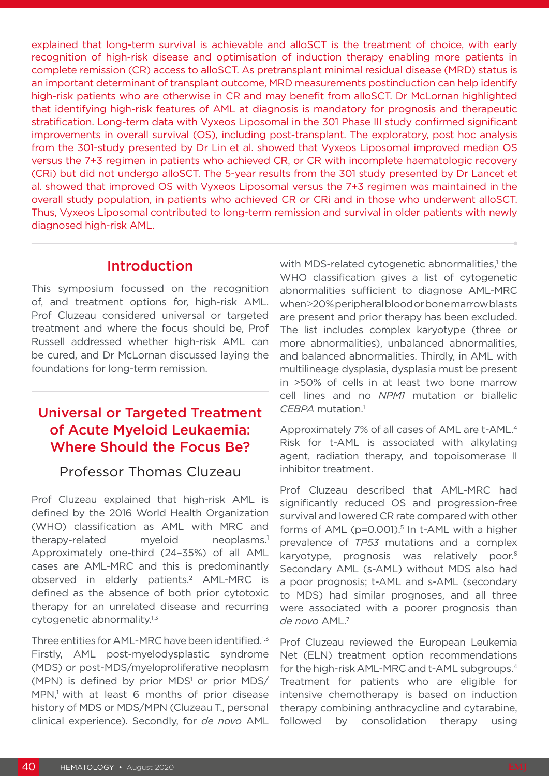explained that long-term survival is achievable and alloSCT is the treatment of choice, with early recognition of high-risk disease and optimisation of induction therapy enabling more patients in complete remission (CR) access to alloSCT. As pretransplant minimal residual disease (MRD) status is an important determinant of transplant outcome, MRD measurements postinduction can help identify high-risk patients who are otherwise in CR and may benefit from alloSCT. Dr McLornan highlighted that identifying high-risk features of AML at diagnosis is mandatory for prognosis and therapeutic stratification. Long-term data with Vyxeos Liposomal in the 301 Phase III study confirmed significant improvements in overall survival (OS), including post-transplant. The exploratory, post hoc analysis from the 301-study presented by Dr Lin et al. showed that Vyxeos Liposomal improved median OS versus the 7+3 regimen in patients who achieved CR, or CR with incomplete haematologic recovery (CRi) but did not undergo alloSCT. The 5-year results from the 301 study presented by Dr Lancet et al. showed that improved OS with Vyxeos Liposomal versus the 7+3 regimen was maintained in the overall study population, in patients who achieved CR or CRi and in those who underwent alloSCT. Thus, Vyxeos Liposomal contributed to long-term remission and survival in older patients with newly diagnosed high-risk AML.

#### **Introduction**

This symposium focussed on the recognition of, and treatment options for, high-risk AML. Prof Cluzeau considered universal or targeted treatment and where the focus should be, Prof Russell addressed whether high-risk AML can be cured, and Dr McLornan discussed laying the foundations for long-term remission.

# Universal or Targeted Treatment of Acute Myeloid Leukaemia: Where Should the Focus Be?

#### Professor Thomas Cluzeau

Prof Cluzeau explained that high-risk AML is defined by the 2016 World Health Organization (WHO) classification as AML with MRC and therapy-related myeloid neoplasms.<sup>1</sup> Approximately one-third (24–35%) of all AML cases are AML-MRC and this is predominantly observed in elderly patients.2 AML-MRC is defined as the absence of both prior cytotoxic therapy for an unrelated disease and recurring cytogenetic abnormality.<sup>1,3</sup>

Three entities for AML-MRC have been identified.<sup>1,3</sup> Firstly, AML post-myelodysplastic syndrome (MDS) or post-MDS/myeloproliferative neoplasm (MPN) is defined by prior MDS<sup>1</sup> or prior MDS/ MPN,<sup>1</sup> with at least 6 months of prior disease history of MDS or MDS/MPN (Cluzeau T., personal clinical experience). Secondly, for *de novo* AML

with MDS-related cytogenetic abnormalities,<sup>1</sup> the WHO classification gives a list of cytogenetic abnormalities sufficient to diagnose AML-MRC when ≥20% peripheral blood or bone marrow blasts are present and prior therapy has been excluded. The list includes complex karyotype (three or more abnormalities), unbalanced abnormalities, and balanced abnormalities. Thirdly, in AML with multilineage dysplasia, dysplasia must be present in >50% of cells in at least two bone marrow cell lines and no *NPM1* mutation or biallelic *CEBPA* mutation.1

Approximately 7% of all cases of AML are t-AML.4 Risk for t-AML is associated with alkylating agent, radiation therapy, and topoisomerase II inhibitor treatment.

Prof Cluzeau described that AML-MRC had significantly reduced OS and progression-free survival and lowered CR rate compared with other forms of  $AML$  (p=0.001).<sup>5</sup> In t-AML with a higher prevalence of *TP53* mutations and a complex karyotype, prognosis was relatively poor.<sup>6</sup> Secondary AML (s-AML) without MDS also had a poor prognosis; t-AML and s-AML (secondary to MDS) had similar prognoses, and all three were associated with a poorer prognosis than *de novo* AML.7

Prof Cluzeau reviewed the European Leukemia Net (ELN) treatment option recommendations for the high-risk AML-MRC and t-AML subgroups.4 Treatment for patients who are eligible for intensive chemotherapy is based on induction therapy combining anthracycline and cytarabine, followed by consolidation therapy using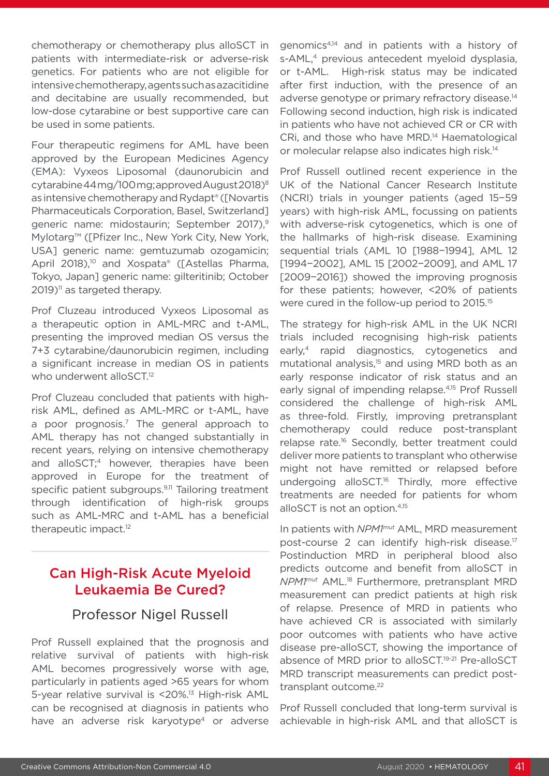chemotherapy or chemotherapy plus alloSCT in patients with intermediate-risk or adverse-risk genetics. For patients who are not eligible for intensive chemotherapy, agents such as azacitidine and decitabine are usually recommended, but low-dose cytarabine or best supportive care can be used in some patients.

Four therapeutic regimens for AML have been approved by the European Medicines Agency (EMA): Vyxeos Liposomal (daunorubicin and cytarabine 44 mg/100 mg; approved August 2018)8 as intensive chemotherapy and Rydapt® ([Novartis Pharmaceuticals Corporation, Basel, Switzerland] generic name: midostaurin; September 2017),<sup>9</sup> Mylotarg™ ([Pfizer Inc., New York City, New York, USA] generic name: gemtuzumab ozogamicin; April 2018),<sup>10</sup> and Xospata® ([Astellas Pharma, Tokyo, Japan] generic name: gilteritinib; October 2019)<sup>11</sup> as targeted therapy.

Prof Cluzeau introduced Vyxeos Liposomal as a therapeutic option in AML-MRC and t-AML, presenting the improved median OS versus the 7+3 cytarabine/daunorubicin regimen, including a significant increase in median OS in patients who underwent alloSCT.<sup>12</sup>

Prof Cluzeau concluded that patients with highrisk AML, defined as AML-MRC or t-AML, have a poor prognosis.7 The general approach to AML therapy has not changed substantially in recent years, relying on intensive chemotherapy and alloSCT;<sup>4</sup> however, therapies have been approved in Europe for the treatment of specific patient subgroups.<sup>9,11</sup> Tailoring treatment through identification of high-risk groups such as AML-MRC and t-AML has a beneficial therapeutic impact.<sup>12</sup>

# Can High-Risk Acute Myeloid Leukaemia Be Cured?

#### Professor Nigel Russell

Prof Russell explained that the prognosis and relative survival of patients with high-risk AML becomes progressively worse with age, particularly in patients aged >65 years for whom 5-year relative survival is <20%.<sup>13</sup> High-risk AML can be recognised at diagnosis in patients who have an adverse risk karyotype<sup>4</sup> or adverse

genomics4,14 and in patients with a history of s-AML,<sup>4</sup> previous antecedent myeloid dysplasia, or t-AML. High-risk status may be indicated after first induction, with the presence of an adverse genotype or primary refractory disease.<sup>14</sup> Following second induction, high risk is indicated in patients who have not achieved CR or CR with CRi, and those who have MRD.14 Haematological or molecular relapse also indicates high risk.14

Prof Russell outlined recent experience in the UK of the National Cancer Research Institute (NCRI) trials in younger patients (aged 15−59 years) with high-risk AML, focussing on patients with adverse-risk cytogenetics, which is one of the hallmarks of high-risk disease. Examining sequential trials (AML 10 [1988−1994], AML 12 [1994−2002], AML 15 [2002−2009], and AML 17 [2009-2016]) showed the improving prognosis for these patients; however, <20% of patients were cured in the follow-up period to 2015.<sup>15</sup>

The strategy for high-risk AML in the UK NCRI trials included recognising high-risk patients early,<sup>4</sup> rapid diagnostics, cytogenetics and mutational analysis,<sup>15</sup> and using MRD both as an early response indicator of risk status and an early signal of impending relapse.4,15 Prof Russell considered the challenge of high-risk AML as three-fold. Firstly, improving pretransplant chemotherapy could reduce post-transplant relapse rate.<sup>16</sup> Secondly, better treatment could deliver more patients to transplant who otherwise might not have remitted or relapsed before undergoing alloSCT.<sup>16</sup> Thirdly, more effective treatments are needed for patients for whom alloSCT is not an option.4,15

In patients with *NPM1mut* AML, MRD measurement post-course 2 can identify high-risk disease.17 Postinduction MRD in peripheral blood also predicts outcome and benefit from alloSCT in *NPM1mut* AML.18 Furthermore, pretransplant MRD measurement can predict patients at high risk of relapse. Presence of MRD in patients who have achieved CR is associated with similarly poor outcomes with patients who have active disease pre-alloSCT, showing the importance of absence of MRD prior to alloSCT.<sup>19-21</sup> Pre-alloSCT MRD transcript measurements can predict posttransplant outcome.<sup>22</sup>

Prof Russell concluded that long-term survival is achievable in high-risk AML and that alloSCT is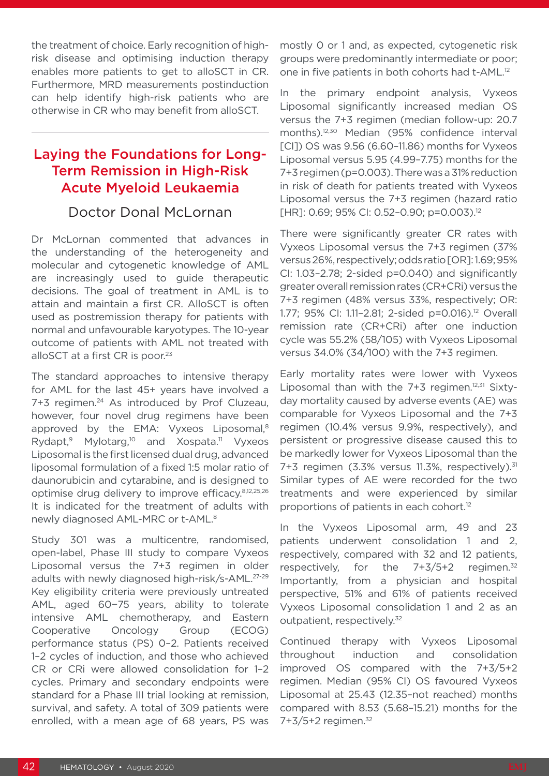the treatment of choice. Early recognition of highrisk disease and optimising induction therapy enables more patients to get to alloSCT in CR. Furthermore, MRD measurements postinduction can help identify high-risk patients who are otherwise in CR who may benefit from alloSCT.

# Laying the Foundations for Long-Term Remission in High-Risk Acute Myeloid Leukaemia

#### Doctor Donal McLornan

Dr McLornan commented that advances in the understanding of the heterogeneity and molecular and cytogenetic knowledge of AML are increasingly used to guide therapeutic decisions. The goal of treatment in AML is to attain and maintain a first CR. AlloSCT is often used as postremission therapy for patients with normal and unfavourable karyotypes. The 10-year outcome of patients with AML not treated with alloSCT at a first CR is poor.<sup>23</sup>

The standard approaches to intensive therapy for AML for the last 45+ years have involved a 7+3 regimen.24 As introduced by Prof Cluzeau, however, four novel drug regimens have been approved by the EMA: Vyxeos Liposomal,<sup>8</sup> Rydapt,<sup>9</sup> Mylotarg,<sup>10</sup> and Xospata.<sup>11</sup> Vyxeos Liposomal is the first licensed dual drug, advanced liposomal formulation of a fixed 1:5 molar ratio of daunorubicin and cytarabine, and is designed to optimise drug delivery to improve efficacy.8,12,25,26 It is indicated for the treatment of adults with newly diagnosed AML-MRC or t-AML.8

Study 301 was a multicentre, randomised, open-label, Phase III study to compare Vyxeos Liposomal versus the 7+3 regimen in older adults with newly diagnosed high-risk/s-AML.27-29 Key eligibility criteria were previously untreated AML, aged 60−75 years, ability to tolerate intensive AML chemotherapy, and Eastern Cooperative Oncology Group (ECOG) performance status (PS) 0–2. Patients received 1–2 cycles of induction, and those who achieved CR or CRi were allowed consolidation for 1–2 cycles. Primary and secondary endpoints were standard for a Phase III trial looking at remission, survival, and safety. A total of 309 patients were enrolled, with a mean age of 68 years, PS was

mostly 0 or 1 and, as expected, cytogenetic risk groups were predominantly intermediate or poor; one in five patients in both cohorts had t-AML.12

In the primary endpoint analysis, Vyxeos Liposomal significantly increased median OS versus the 7+3 regimen (median follow-up: 20.7 months).12,30 Median (95% confidence interval [CI]) OS was 9.56 (6.60–11.86) months for Vyxeos Liposomal versus 5.95 (4.99–7.75) months for the 7+3 regimen (p=0.003). There was a 31% reduction in risk of death for patients treated with Vyxeos Liposomal versus the 7+3 regimen (hazard ratio [HR]: 0.69; 95% CI: 0.52-0.90; p=0.003).<sup>12</sup>

There were significantly greater CR rates with Vyxeos Liposomal versus the 7+3 regimen (37% versus 26%, respectively; odds ratio [OR]: 1.69; 95% CI: 1.03–2.78; 2-sided p=0.040) and significantly greater overall remission rates (CR+CRi) versus the 7+3 regimen (48% versus 33%, respectively; OR: 1.77; 95% CI: 1.11-2.81; 2-sided p=0.016).<sup>12</sup> Overall remission rate (CR+CRi) after one induction cycle was 55.2% (58/105) with Vyxeos Liposomal versus 34.0% (34/100) with the 7+3 regimen.

Early mortality rates were lower with Vyxeos Liposomal than with the  $7+3$  regimen.<sup>12,31</sup> Sixtyday mortality caused by adverse events (AE) was comparable for Vyxeos Liposomal and the 7+3 regimen (10.4% versus 9.9%, respectively), and persistent or progressive disease caused this to be markedly lower for Vyxeos Liposomal than the 7+3 regimen (3.3% versus 11.3%, respectively).<sup>31</sup> Similar types of AE were recorded for the two treatments and were experienced by similar proportions of patients in each cohort.12

In the Vyxeos Liposomal arm, 49 and 23 patients underwent consolidation 1 and 2, respectively, compared with 32 and 12 patients, respectively, for the  $7+3/5+2$  regimen.<sup>32</sup> Importantly, from a physician and hospital perspective, 51% and 61% of patients received Vyxeos Liposomal consolidation 1 and 2 as an outpatient, respectively.<sup>32</sup>

Continued therapy with Vyxeos Liposomal throughout induction and consolidation improved OS compared with the 7+3/5+2 regimen. Median (95% CI) OS favoured Vyxeos Liposomal at 25.43 (12.35–not reached) months compared with 8.53 (5.68–15.21) months for the 7+3/5+2 regimen.32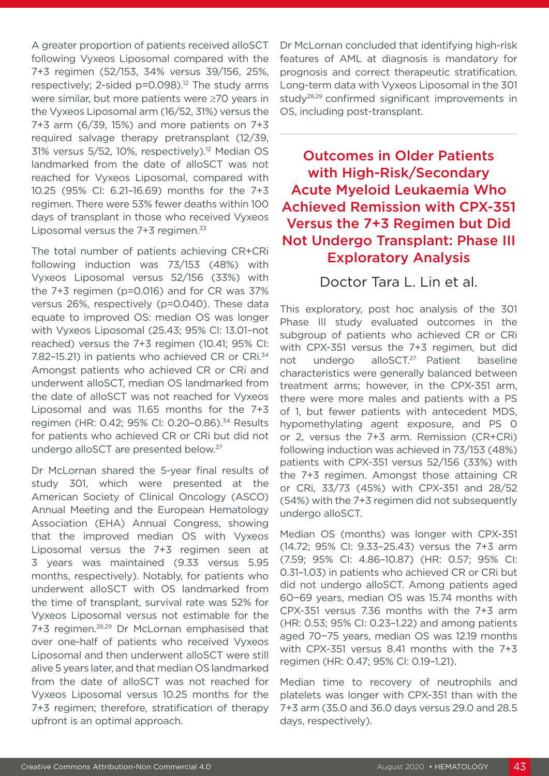A greater proportion of patients received alloSCT following Vyxeos Liposomal compared with the 7+3 regimen (52/153, 34% versus 39/156, 25%, respectively; 2-sided p=0.098).<sup>12</sup> The study arms were similar, but more patients were ≥70 years in the Vyxeos Liposomal arm (16/52, 31%) versus the 7+3 arm (6/39, 15%) and more patients on 7+3 required salvage therapy pretransplant (12/39, 31% versus 5/52, 10%, respectively).<sup>12</sup> Median OS landmarked from the date of alloSCT was not reached for Vyxeos Liposomal, compared with 10.25 (95% CI: 6.21–16.69) months for the 7+3 regimen. There were 53% fewer deaths within 100 days of transplant in those who received Vyxeos Liposomal versus the  $7+3$  regimen. $33$ 

The total number of patients achieving CR+CRi following induction was 73/153 (48%) with Vyxeos Liposomal versus 52/156 (33%) with the 7+3 regimen (p=0.016) and for CR was 37% versus 26%, respectively (p=0.040). These data equate to improved OS: median OS was longer with Vyxeos Liposomal (25.43; 95% CI: 13.01–not reached) versus the 7+3 regimen (10.41; 95% CI: 7.82–15.21) in patients who achieved CR or CRi.34 Amongst patients who achieved CR or CRi and underwent alloSCT, median OS landmarked from the date of alloSCT was not reached for Vyxeos Liposomal and was 11.65 months for the 7+3 regimen (HR: 0.42; 95% CI: 0.20–0.86).34 Results for patients who achieved CR or CRi but did not undergo alloSCT are presented below.27

Dr McLornan shared the 5-year final results of study 301, which were presented at the American Society of Clinical Oncology (ASCO) Annual Meeting and the European Hematology Association (EHA) Annual Congress, showing that the improved median OS with Vyxeos Liposomal versus the 7+3 regimen seen at 3 years was maintained (9.33 versus 5.95 months, respectively). Notably, for patients who underwent alloSCT with OS landmarked from the time of transplant, survival rate was 52% for Vyxeos Liposomal versus not estimable for the 7+3 regimen.28,29 Dr McLornan emphasised that over one-half of patients who received Vyxeos Liposomal and then underwent alloSCT were still alive 5 years later, and that median OS landmarked from the date of alloSCT was not reached for Vyxeos Liposomal versus 10.25 months for the 7+3 regimen; therefore, stratification of therapy upfront is an optimal approach.

Dr McLornan concluded that identifying high-risk features of AML at diagnosis is mandatory for prognosis and correct therapeutic stratification. Long-term data with Vyxeos Liposomal in the 301 study28,29 confirmed significant improvements in OS, including post-transplant.

Outcomes in Older Patients with High-Risk/Secondary Acute Myeloid Leukaemia Who Achieved Remission with CPX-351 Versus the 7+3 Regimen but Did Not Undergo Transplant: Phase III Exploratory Analysis

Doctor Tara L. Lin et al.

This exploratory, post hoc analysis of the 301 Phase III study evaluated outcomes in the subgroup of patients who achieved CR or CRi with CPX-351 versus the 7+3 regimen, but did not undergo alloSCT.<sup>27</sup> Patient baseline characteristics were generally balanced between treatment arms; however, in the CPX-351 arm, there were more males and patients with a PS of 1, but fewer patients with antecedent MDS, hypomethylating agent exposure, and PS 0 or 2, versus the 7+3 arm. Remission (CR+CRi) following induction was achieved in 73/153 (48%) patients with CPX-351 versus 52/156 (33%) with the 7+3 regimen. Amongst those attaining CR or CRi, 33/73 (45%) with CPX-351 and 28/52 (54%) with the 7+3 regimen did not subsequently undergo alloSCT.

Median OS (months) was longer with CPX-351 (14.72; 95% CI: 9.33–25.43) versus the 7+3 arm (7.59; 95% CI: 4.86–10.87) (HR: 0.57; 95% CI: 0.31–1.03) in patients who achieved CR or CRi but did not undergo alloSCT. Among patients aged 60−69 years, median OS was 15.74 months with CPX-351 versus 7.36 months with the 7+3 arm (HR: 0.53; 95% CI: 0.23–1.22) and among patients aged 70−75 years, median OS was 12.19 months with CPX-351 versus 8.41 months with the 7+3 regimen (HR: 0.47; 95% CI: 0.19–1.21).

Median time to recovery of neutrophils and platelets was longer with CPX-351 than with the 7+3 arm (35.0 and 36.0 days versus 29.0 and 28.5 days, respectively).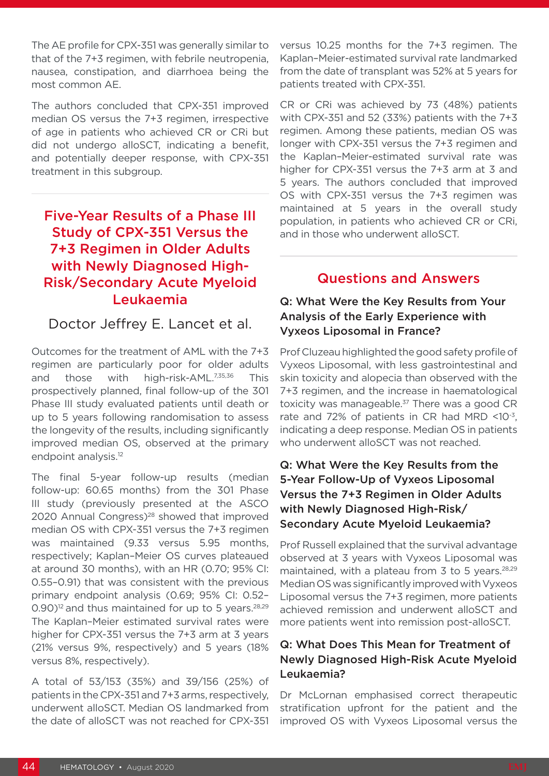The AE profile for CPX-351 was generally similar to that of the 7+3 regimen, with febrile neutropenia, nausea, constipation, and diarrhoea being the most common AE.

The authors concluded that CPX-351 improved median OS versus the 7+3 regimen, irrespective of age in patients who achieved CR or CRi but did not undergo alloSCT, indicating a benefit, and potentially deeper response, with CPX-351 treatment in this subgroup.

# Five-Year Results of a Phase III Study of CPX-351 Versus the 7+3 Regimen in Older Adults with Newly Diagnosed High-Risk/Secondary Acute Myeloid Leukaemia

#### Doctor Jeffrey E. Lancet et al.

Outcomes for the treatment of AML with the 7+3 regimen are particularly poor for older adults and those with high-risk-AML.7,35,36 This prospectively planned, final follow-up of the 301 Phase III study evaluated patients until death or up to 5 years following randomisation to assess the longevity of the results, including significantly improved median OS, observed at the primary endpoint analysis.12

The final 5-year follow-up results (median follow-up: 60.65 months) from the 301 Phase III study (previously presented at the ASCO 2020 Annual Congress)<sup>28</sup> showed that improved median OS with CPX-351 versus the 7+3 regimen was maintained (9.33 versus 5.95 months, respectively; Kaplan–Meier OS curves plateaued at around 30 months), with an HR (0.70; 95% CI: 0.55–0.91) that was consistent with the previous primary endpoint analysis (0.69; 95% CI: 0.52–  $(0.90)^{12}$  and thus maintained for up to 5 years.<sup>28,29</sup> The Kaplan–Meier estimated survival rates were higher for CPX-351 versus the 7+3 arm at 3 years (21% versus 9%, respectively) and 5 years (18% versus 8%, respectively).

A total of 53/153 (35%) and 39/156 (25%) of patients in the CPX-351 and 7+3 arms, respectively, underwent alloSCT. Median OS landmarked from the date of alloSCT was not reached for CPX-351 versus 10.25 months for the 7+3 regimen. The Kaplan–Meier-estimated survival rate landmarked from the date of transplant was 52% at 5 years for patients treated with CPX-351.

CR or CRi was achieved by 73 (48%) patients with CPX-351 and 52 (33%) patients with the 7+3 regimen. Among these patients, median OS was longer with CPX-351 versus the 7+3 regimen and the Kaplan–Meier-estimated survival rate was higher for CPX-351 versus the 7+3 arm at 3 and 5 years. The authors concluded that improved OS with CPX-351 versus the 7+3 regimen was maintained at 5 years in the overall study population, in patients who achieved CR or CRi, and in those who underwent alloSCT.

#### Questions and Answers

#### Q: What Were the Key Results from Your Analysis of the Early Experience with Vyxeos Liposomal in France?

Prof Cluzeau highlighted the good safety profile of Vyxeos Liposomal, with less gastrointestinal and skin toxicity and alopecia than observed with the 7+3 regimen, and the increase in haematological toxicity was manageable.<sup>37</sup> There was a good CR rate and 72% of patients in CR had MRD <10-3, indicating a deep response. Median OS in patients who underwent alloSCT was not reached.

#### Q: What Were the Key Results from the 5-Year Follow-Up of Vyxeos Liposomal Versus the 7+3 Regimen in Older Adults with Newly Diagnosed High-Risk/ Secondary Acute Myeloid Leukaemia?

Prof Russell explained that the survival advantage observed at 3 years with Vyxeos Liposomal was maintained, with a plateau from 3 to 5 years.<sup>28,29</sup> Median OS was significantly improved with Vyxeos Liposomal versus the 7+3 regimen, more patients achieved remission and underwent alloSCT and more patients went into remission post-alloSCT.

#### Q: What Does This Mean for Treatment of Newly Diagnosed High-Risk Acute Myeloid Leukaemia?

Dr McLornan emphasised correct therapeutic stratification upfront for the patient and the improved OS with Vyxeos Liposomal versus the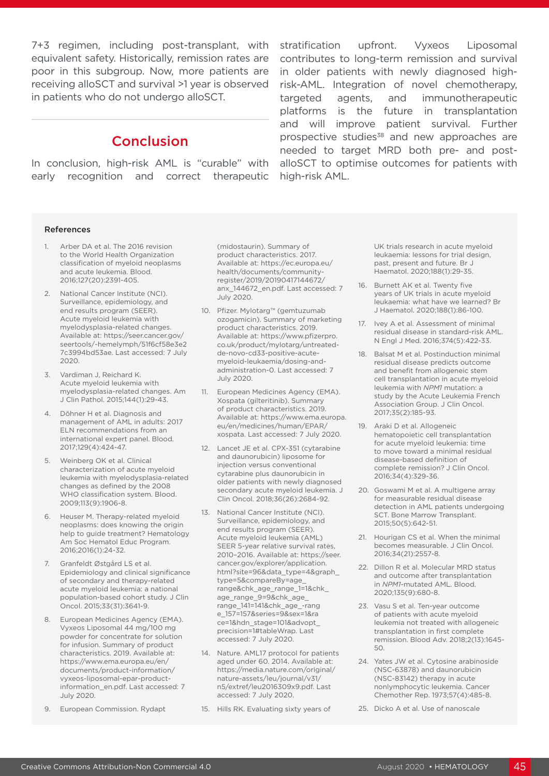equivalent safety. Historically, remission rates are poor in this subgroup. Now, more patients are receiving alloSCT and survival >1 year is observed in patients who do not undergo alloSCT.

### **Conclusion**

In conclusion, high-risk AML is "curable" with early recognition and correct therapeutic

7+3 regimen, including post-transplant, with stratification upfront. Vyxeos Liposomal contributes to long-term remission and survival in older patients with newly diagnosed highrisk-AML. Integration of novel chemotherapy, targeted agents, and immunotherapeutic platforms is the future in transplantation and will improve patient survival. Further prospective studies<sup>38</sup> and new approaches are needed to target MRD both pre- and postalloSCT to optimise outcomes for patients with high-risk AML.

#### References

- 1. Arber DA et al. The 2016 revision to the World Health Organization classification of myeloid neoplasms and acute leukemia. Blood. 2016;127(20):2391-405.
- 2. National Cancer Institute (NCI). Surveillance, epidemiology, and end results program (SEER). Acute myeloid leukemia with myelodysplasia-related changes. Available at: https://seer.cancer.gov/ seertools/-hemelymph/51f6cf58e3e2 7c3994bd53ae. Last accessed: 7 July 2020.
- 3. Vardiman J, Reichard K. Acute myeloid leukemia with myelodysplasia-related changes. Am J Clin Pathol. 2015;144(1):29-43.
- 4. Döhner H et al. Diagnosis and management of AML in adults: 2017 ELN recommendations from an international expert panel. Blood. 2017;129(4):424-47.
- 5. Weinberg OK et al. Clinical characterization of acute myeloid leukemia with myelodysplasia-related changes as defined by the 2008 WHO classification system. Blood. 2009;113(9):1906-8.
- 6. Heuser M. Therapy-related myeloid neoplasms: does knowing the origin help to guide treatment? Hematology Am Soc Hematol Educ Program. 2016;2016(1):24-32.
- 7. Granfeldt Østgård LS et al. Epidemiology and clinical significance of secondary and therapy-related acute myeloid leukemia: a national population-based cohort study. J Clin Oncol. 2015;33(31):3641-9.
- 8. European Medicines Agency (EMA). Vyxeos Liposomal 44 mg/100 mg powder for concentrate for solution for infusion. Summary of product characteristics. 2019. Available at: https://www.ema.europa.eu/en/ documents/product-information/ vyxeos-liposomal-epar-productinformation\_en.pdf. Last accessed: 7 July 2020.
- 9. European Commission. Rydapt

(midostaurin). Summary of product characteristics. 2017. Available at: https://ec.europa.eu/ health/documents/communityregister/2019/20190417144672/ anx\_144672\_en.pdf. Last accessed: 7 July 2020.

- 10. Pfizer. Mylotarg™ (gemtuzumab ozogamicin). Summary of marketing product characteristics. 2019. Available at: https://www.pfizerpro. co.uk/product/mylotarg/untreatedde-novo-cd33-positive-acutemyeloid-leukaemia/dosing-andadministration-0. Last accessed: 7 July 2020.
- 11. European Medicines Agency (EMA). Xospata (gilteritinib). Summary of product characteristics. 2019. Available at: https://www.ema.europa. eu/en/medicines/human/EPAR/ xospata. Last accessed: 7 July 2020.
- 12. Lancet JE et al. CPX-351 (cytarabine and daunorubicin) liposome for injection versus conventional cytarabine plus daunorubicin in older patients with newly diagnosed secondary acute myeloid leukemia. J Clin Oncol. 2018;36(26):2684-92.
- 13. National Cancer Institute (NCI). Surveillance, epidemiology, and end results program (SEER). Acute myeloid leukemia (AML) SEER 5-year relative survival rates. 2010–2016. Available at: https://seer. cancer.gov/explorer/application. html?site=96&data\_type=4&graph type=5&compareBy=age\_ range&chk\_age\_range\_1=1&chk\_ age\_range\_9=9&chk\_age\_ range\_141=141&chk\_age\_-rang e\_157=157&series=9&sex=1&ra ce=1&hdn\_stage=101&advopt\_ precision=1#tableWrap. Last accessed: 7 July 2020.
- 14. Nature. AML17 protocol for patients aged under 60. 2014. Available at: https://media.nature.com/original/ nature-assets/leu/journal/v31/ n5/extref/leu2016309x9.pdf. Last accessed: 7 July 2020.
- 15. Hills RK. Evaluating sixty years of

UK trials research in acute myeloid leukaemia: lessons for trial design, past, present and future. Br J Haematol. 2020;188(1):29-35.

- 16. Burnett AK et al. Twenty five years of UK trials in acute myeloid leukaemia: what have we learned? Br J Haematol. 2020;188(1):86-100.
- 17. Ivey A et al. Assessment of minimal residual disease in standard-risk AML. N Engl J Med. 2016;374(5):422-33.
- 18. Balsat M et al. Postinduction minimal residual disease predicts outcome and benefit from allogeneic stem cell transplantation in acute myeloid leukemia with *NPM1* mutation: a study by the Acute Leukemia French Association Group. J Clin Oncol. 2017;35(2):185-93.
- 19. Araki D et al. Allogeneic hematopoietic cell transplantation for acute myeloid leukemia: time to move toward a minimal residual disease-based definition of complete remission? J Clin Oncol. 2016;34(4):329-36.
- 20. Goswami M et al. A multigene array for measurable residual disease detection in AML patients undergoing SCT. Bone Marrow Transplant. 2015;50(5):642-51.
- 21. Hourigan CS et al. When the minimal becomes measurable. J Clin Oncol. 2016;34(21):2557-8.
- 22. Dillon R et al. Molecular MRD status and outcome after transplantation in *NPM1*-mutated AML. Blood. 2020;135(9):680-8.
- 23. Vasu S et al. Ten-year outcome of patients with acute myeloid leukemia not treated with allogeneic transplantation in first complete remission. Blood Adv. 2018;2(13):1645- 50.
- 24. Yates JW et al. Cytosine arabinoside (NSC-63878) and daunorubicin (NSC-83142) therapy in acute nonlymphocytic leukemia. Cancer Chemother Rep. 1973;57(4):485-8.
- 25. Dicko A et al. Use of nanoscale